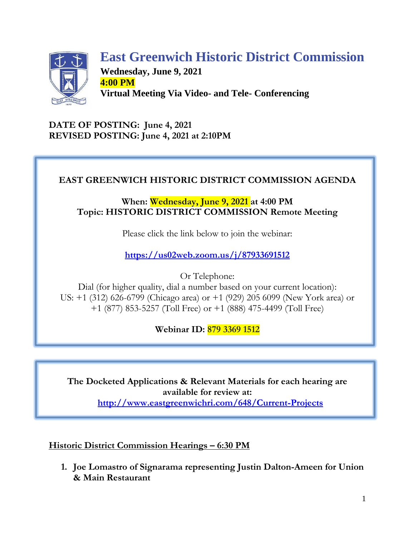

# **East Greenwich Historic District Commission**

**Wednesday, June 9, 2021 4:00 PM Virtual Meeting Via Video- and Tele- Conferencing**

**DATE OF POSTING: June 4, 2021 REVISED POSTING: June 4, 2021 at 2:10PM**

# **EAST GREENWICH HISTORIC DISTRICT COMMISSION AGENDA**

**When: Wednesday, June 9, 2021 at 4:00 PM Topic: HISTORIC DISTRICT COMMISSION Remote Meeting**

Please click the link below to join the webinar:

**<https://us02web.zoom.us/j/87933691512>**

Or Telephone:

Dial (for higher quality, dial a number based on your current location): US: +1 (312) 626-6799 (Chicago area) or +1 (929) 205 6099 (New York area) or +1 (877) 853-5257 (Toll Free) or +1 (888) 475-4499 (Toll Free)

**Webinar ID: 879 3369 1512**

**The Docketed Applications & Relevant Materials for each hearing are available for review at: <http://www.eastgreenwichri.com/648/Current-Projects>**

**Historic District Commission Hearings – 6:30 PM**

**1. Joe Lomastro of Signarama representing Justin Dalton-Ameen for Union & Main Restaurant**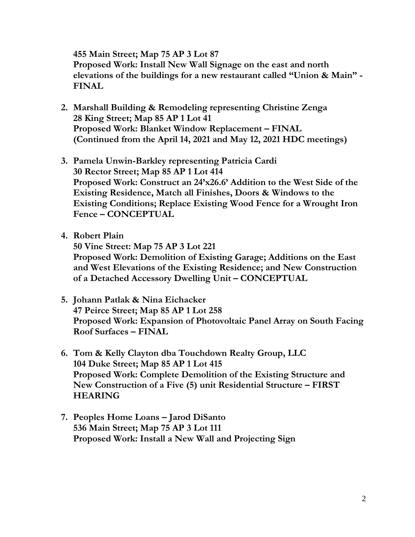**455 Main Street; Map 75 AP 3 Lot 87 Proposed Work: Install New Wall Signage on the east and north elevations of the buildings for a new restaurant called "Union & Main" - FINAL**

- **2. Marshall Building & Remodeling representing Christine Zenga 28 King Street; Map 85 AP 1 Lot 41 Proposed Work: Blanket Window Replacement – FINAL (Continued from the April 14, 2021 and May 12, 2021 HDC meetings)**
- **3. Pamela Unwin-Barkley representing Patricia Cardi 30 Rector Street; Map 85 AP 1 Lot 414 Proposed Work: Construct an 24'x26.6' Addition to the West Side of the Existing Residence, Match all Finishes, Doors & Windows to the Existing Conditions; Replace Existing Wood Fence for a Wrought Iron Fence – CONCEPTUAL**
- **4. Robert Plain**

**50 Vine Street: Map 75 AP 3 Lot 221 Proposed Work: Demolition of Existing Garage; Additions on the East and West Elevations of the Existing Residence; and New Construction of a Detached Accessory Dwelling Unit – CONCEPTUAL**

- **5. Johann Patlak & Nina Eichacker 47 Peirce Street; Map 85 AP 1 Lot 258 Proposed Work: Expansion of Photovoltaic Panel Array on South Facing Roof Surfaces – FINAL**
- **6. Tom & Kelly Clayton dba Touchdown Realty Group, LLC 104 Duke Street; Map 85 AP 1 Lot 415 Proposed Work: Complete Demolition of the Existing Structure and New Construction of a Five (5) unit Residential Structure – FIRST HEARING**
- **7. Peoples Home Loans – Jarod DiSanto 536 Main Street; Map 75 AP 3 Lot 111 Proposed Work: Install a New Wall and Projecting Sign**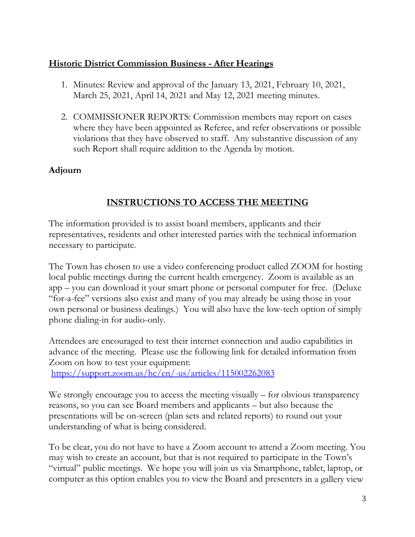#### **Historic District Commission Business - After Hearings**

- 1. Minutes: Review and approval of the January 13, 2021, February 10, 2021, March 25, 2021, April 14, 2021 and May 12, 2021 meeting minutes.
- 2. COMMISSIONER REPORTS: Commission members may report on cases where they have been appointed as Referee, and refer observations or possible violations that they have observed to staff. Any substantive discussion of any such Report shall require addition to the Agenda by motion.

#### **Adjourn**

## **INSTRUCTIONS TO ACCESS THE MEETING**

The information provided is to assist board members, applicants and their representatives, residents and other interested parties with the technical information necessary to participate.

The Town has chosen to use a video conferencing product called ZOOM for hosting local public meetings during the current health emergency. Zoom is available as an app – you can download it your smart phone or personal computer for free. (Deluxe "for-a-fee" versions also exist and many of you may already be using those in your own personal or business dealings.) You will also have the low-tech option of simply phone dialing-in for audio-only.

Attendees are encouraged to test their internet connection and audio capabilities in advance of the meeting. Please use the following link for detailed information from Zoom on how to test your equipment:

<https://support.zoom.us/hc/en/-us/articles/115002262083>

We strongly encourage you to access the meeting visually – for obvious transparency reasons, so you can see Board members and applicants – but also because the presentations will be on-screen (plan sets and related reports) to round out your understanding of what is being considered.

To be clear, you do not have to have a Zoom account to attend a Zoom meeting. You may wish to create an account, but that is not required to participate in the Town's "virtual" public meetings. We hope you will join us via Smartphone, tablet, laptop, or computer as this option enables you to view the Board and presenters in a gallery view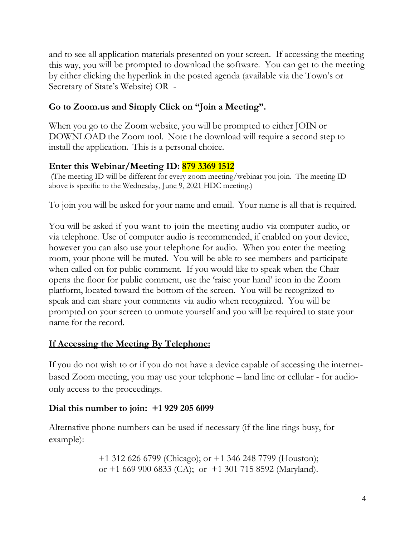and to see all application materials presented on your screen. If accessing the meeting this way, you will be prompted to download the software. You can get to the meeting by either clicking the hyperlink in the posted agenda (available via the Town's or Secretary of State's Website) OR -

## **Go to Zoom.us and Simply Click on "Join a Meeting".**

When you go to the Zoom website, you will be prompted to either JOIN or DOWNLOAD the Zoom tool. Note t he download will require a second step to install the application. This is a personal choice.

# **Enter this Webinar/Meeting ID: 879 3369 1512**

(The meeting ID will be different for every zoom meeting/webinar you join. The meeting ID above is specific to the Wednesday, June 9, 2021 HDC meeting.)

To join you will be asked for your name and email. Your name is all that is required.

You will be asked if you want to join the meeting audio via computer audio, or via telephone. Use of computer audio is recommended, if enabled on your device, however you can also use your telephone for audio. When you enter the meeting room, your phone will be muted. You will be able to see members and participate when called on for public comment. If you would like to speak when the Chair opens the floor for public comment, use the 'raise your hand' icon in the Zoom platform, located toward the bottom of the screen. You will be recognized to speak and can share your comments via audio when recognized. You will be prompted on your screen to unmute yourself and you will be required to state your name for the record.

# **If Accessing the Meeting By Telephone:**

If you do not wish to or if you do not have a device capable of accessing the internetbased Zoom meeting, you may use your telephone – land line or cellular - for audioonly access to the proceedings.

# **Dial this number to join: +1 929 205 6099**

Alternative phone numbers can be used if necessary (if the line rings busy, for example):

> +1 312 626 6799 (Chicago); or +1 346 248 7799 (Houston); or  $+1$  669 900 6833 (CA); or  $+1$  301 715 8592 (Maryland).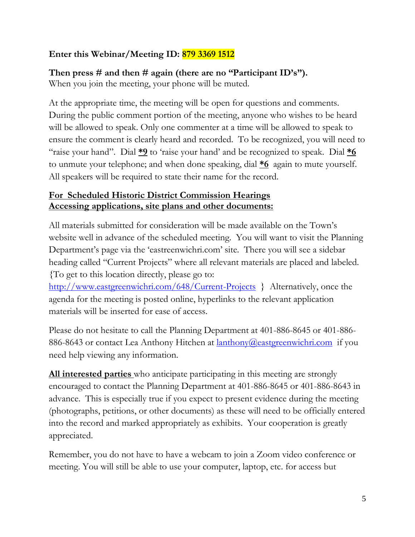## **Enter this Webinar/Meeting ID: 879 3369 1512**

# **Then press # and then # again (there are no "Participant ID's").**

When you join the meeting, your phone will be muted.

At the appropriate time, the meeting will be open for questions and comments. During the public comment portion of the meeting, anyone who wishes to be heard will be allowed to speak. Only one commenter at a time will be allowed to speak to ensure the comment is clearly heard and recorded. To be recognized, you will need to "raise your hand". Dial **\*9** to 'raise your hand' and be recognized to speak. Dial **\*6** to unmute your telephone; and when done speaking, dial **\*6** again to mute yourself. All speakers will be required to state their name for the record.

# **For Scheduled Historic District Commission Hearings Accessing applications, site plans and other documents:**

All materials submitted for consideration will be made available on the Town's website well in advance of the scheduled meeting. You will want to visit the Planning Department's page via the 'eastreenwichri.com' site. There you will see a sidebar heading called "Current Projects" where all relevant materials are placed and labeled. {To get to this location directly, please go to:

<http://www.eastgreenwichri.com/648/Current-Projects>} Alternatively, once the agenda for the meeting is posted online, hyperlinks to the relevant application materials will be inserted for ease of access.

Please do not hesitate to call the Planning Department at 401-886-8645 or 401-886- 886-8643 or contact Lea Anthony Hitchen at <u>lanthony@eastgreenwichri.com</u> if you need help viewing any information.

**All interested parties** who anticipate participating in this meeting are strongly encouraged to contact the Planning Department at 401-886-8645 or 401-886-8643 in advance. This is especially true if you expect to present evidence during the meeting (photographs, petitions, or other documents) as these will need to be officially entered into the record and marked appropriately as exhibits. Your cooperation is greatly appreciated.

Remember, you do not have to have a webcam to join a Zoom video conference or meeting. You will still be able to use your computer, laptop, etc. for access but